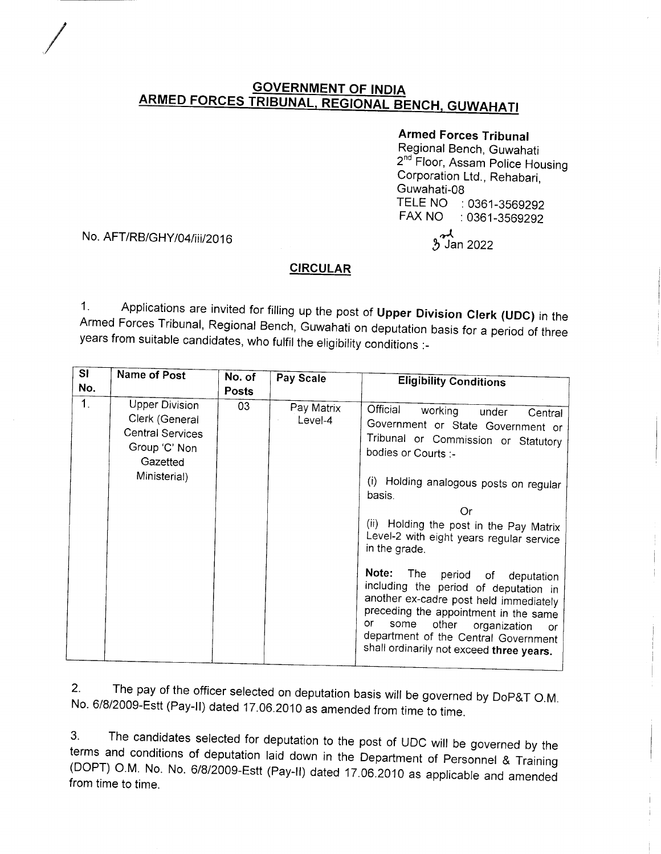# <u>GOVERNMENT OF INDIA</u><br>ARMED FORCES TRIBUNAL, REGIONAL BENCH, GUWAHATI</u>

## Armed Forces Tribunal

 $\mathcal{\mathcal{Y}}$  Jan 2022

Regional Bench, Guwahati 2<sup>nd</sup> Floor, Assam Police Housing Corporation Ltd., Rehabari, Guwahati-08<br>TELE NO TELE NO : 0361-3569292<br>FAX NO : 0361-3569292  $\therefore$  0361-3569292 \*\

#### No. AFT/RB/GHY/04/iii/2016

/

### **CIRCULAR**

1. Applications are invited for filling up the post of Upper Division Clerk (UDC) in the Armed Forces Tribunal, Regional Bench, Guwahati on deputation basis for a period of three years from suitable candidates, who fulfil

| S <sub>1</sub><br>No. | Name of Post                                                                                                    | No. of<br><b>Posts</b> | Pay Scale             | <b>Eligibility Conditions</b>                                                                                                                                                                                                                                                                                                                                                                                                                                                                        |
|-----------------------|-----------------------------------------------------------------------------------------------------------------|------------------------|-----------------------|------------------------------------------------------------------------------------------------------------------------------------------------------------------------------------------------------------------------------------------------------------------------------------------------------------------------------------------------------------------------------------------------------------------------------------------------------------------------------------------------------|
| 1.                    | <b>Upper Division</b><br>Clerk (General<br><b>Central Services</b><br>Group 'C' Non<br>Gazetted<br>Ministerial) | 03                     | Pay Matrix<br>Level-4 | Official working<br>under<br>Central<br>Government or State Government or<br>Tribunal or Commission or Statutory<br>bodies or Courts :-<br>(i) Holding analogous posts on regular<br>basis.<br>Or<br>(ii) Holding the post in the Pay Matrix<br>Level-2 with eight years regular service<br>in the grade.<br>Note:<br>The<br>period of deputation<br>including the period of deputation in<br>another ex-cadre post held immediately<br>preceding the appointment in the same<br>or<br>some<br>other |
|                       |                                                                                                                 |                        |                       | organization<br>- or<br>department of the Central Government<br>shall ordinarily not exceed three years.                                                                                                                                                                                                                                                                                                                                                                                             |

2' The pay of the officer selected on deputation basis will be governed by Dop&T o.M. No. 6/8/2009-Estt (Pay-ll) dated 17.06.2010 as amended from time to time.

3. The candidates selected for deputation to the post of UDC will be governed by the terms and conditions of deputation laid down in the Department of Personnel & Training (DOPT) O.M. No. No. 6/8/2009-Estt (Pay-II) dated 1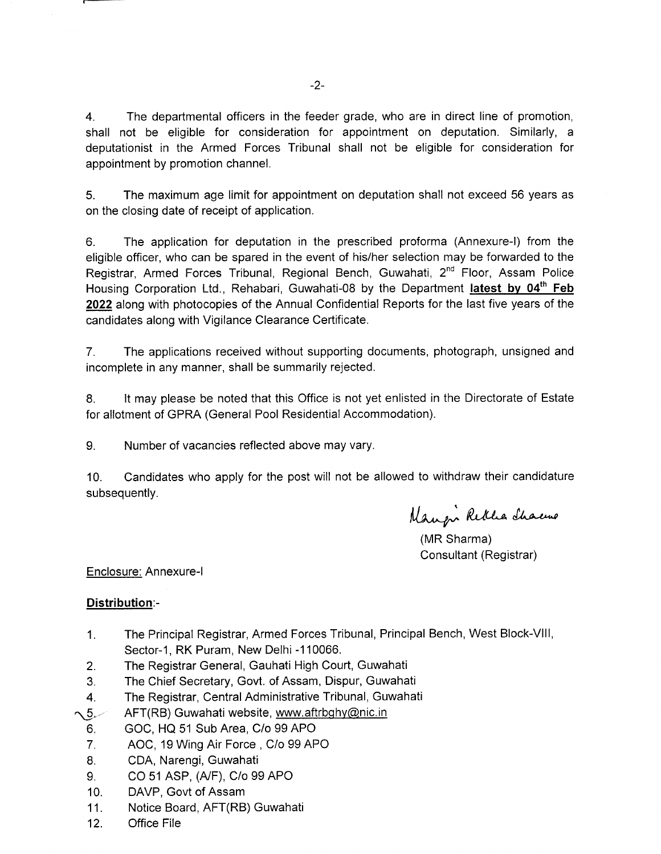4. The departmental officers in the feeder grade, who are in direct line of promotion, shall not be eligible for consideration for appointment on deputation. Similarly, <sup>a</sup> deputationist in the Armed Forces Tribunal shall not be eligible for consideration for appointment by promotion channel.

5. The maximum age limit for appointment on deputation shall not exceed 56 years as on the closing date of receipt of application.

6. The application for deputation in the prescribed proforma (Annexure-l) from the eligible officer, who can be spared in the event of his/her selection may be forwarded to the Registrar, Armed Forces Tribunal, Regional Bench, Guwahati, 2<sup>nd</sup> Floor, Assam Police Housing Corporation Ltd., Rehabari, Guwahati-08 by the Department latest by 04<sup>th</sup> Feb 2022 along with photocopies of the Annual Confidential Reports for the last five years of the candidates along with Vigilance Clearance Certificate.

7. The applications received without supporting documents, photograph, unsigned and incomplete in any manner, shall be summarily rejected.

8. It may please be noted that this Office is not yet enlisted in the Directorate of Estate for allotment of GPRA (General Pool Residential Accommodation).

9. Number of vacancies reflected above may vary.

10. Candidates who apply for the post will not be allowed to withdraw their candidature subsequently.

Mangi Retha Shacus

(MR Sharma) Consultant (Registrar)

#### Enclosure: Annexure-l

#### Distribution:-

- 1. The Principal Registrar, Armed Forces Tribunal, Principal Bench, West Block-Vlll, Sector-1, RK Puram, New Delhi -110066.
- 2. The Registrar General, Gauhati High Court, Guwahati
- 3. The Chief Secretary, Govt. of Assam, Dispur, Guwahati
- 4. The Registrar, Central Administrative Tribunal, Guwahati
- $\sim$  5. $\lt$ AFT(RB) Guwahati website, www.aftrbghy@nic.in
	- 6. GOC, HQ 51 Sub Area, C/o 99 APO
	- 7. AOC, 19 Wing Air Force , C/o 99 APO
	- 8. CDA, Narengi, Guwahati
	- 9. CO 51 ASP, (A/F), C/o 99 APO
	- 10. DAVP, Govt of Assam
	- 11. Notice Board, AFT(RB) Guwahati
	- 12. Office File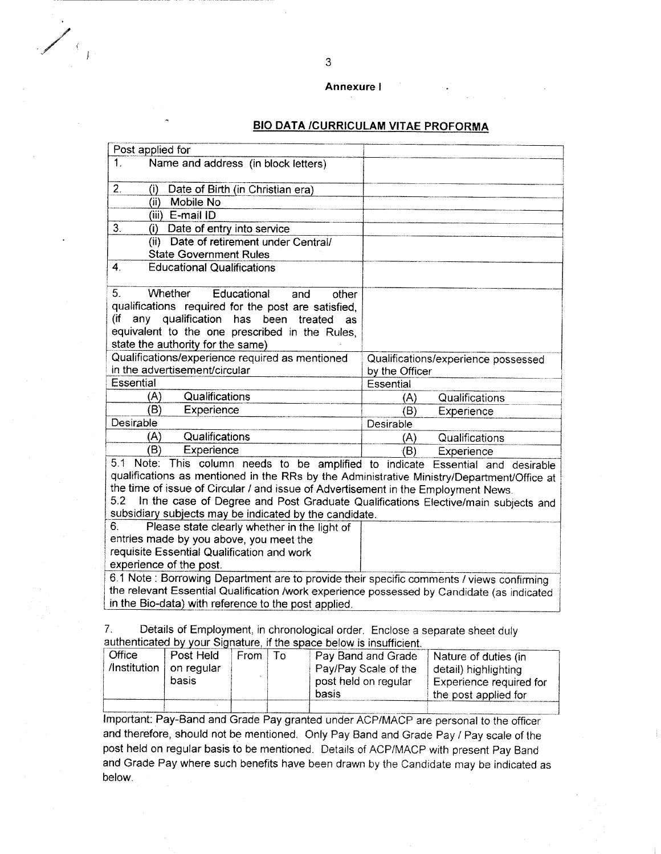#### Annexure I

#### **BIO DATA /CURRICULAM VITAE PROFORMA**

| Post applied for                                                                                                                                                                                                                                                                                                                                                                                                          |                                     |
|---------------------------------------------------------------------------------------------------------------------------------------------------------------------------------------------------------------------------------------------------------------------------------------------------------------------------------------------------------------------------------------------------------------------------|-------------------------------------|
| Name and address (in block letters)<br>1.                                                                                                                                                                                                                                                                                                                                                                                 |                                     |
| 2.<br>Date of Birth (in Christian era)<br>$\left( i\right)$                                                                                                                                                                                                                                                                                                                                                               |                                     |
| Mobile No<br>(i)                                                                                                                                                                                                                                                                                                                                                                                                          |                                     |
| (iii) E-mail ID                                                                                                                                                                                                                                                                                                                                                                                                           |                                     |
| 3.<br>Date of entry into service<br>(i)                                                                                                                                                                                                                                                                                                                                                                                   |                                     |
| (ii) Date of retirement under Central/                                                                                                                                                                                                                                                                                                                                                                                    |                                     |
| <b>State Government Rules</b>                                                                                                                                                                                                                                                                                                                                                                                             |                                     |
| $\mathbf{4}$<br><b>Educational Qualifications</b>                                                                                                                                                                                                                                                                                                                                                                         |                                     |
| 5.<br>Whether<br>Educational<br>other<br>and                                                                                                                                                                                                                                                                                                                                                                              |                                     |
| qualifications required for the post are satisfied.                                                                                                                                                                                                                                                                                                                                                                       |                                     |
| any qualification has been treated<br>(if<br>as                                                                                                                                                                                                                                                                                                                                                                           |                                     |
| equivalent to the one prescribed in the Rules,                                                                                                                                                                                                                                                                                                                                                                            |                                     |
| state the authority for the same)                                                                                                                                                                                                                                                                                                                                                                                         |                                     |
| Qualifications/experience required as mentioned                                                                                                                                                                                                                                                                                                                                                                           | Qualifications/experience possessed |
| in the advertisement/circular                                                                                                                                                                                                                                                                                                                                                                                             | by the Officer                      |
| <b>Essential</b>                                                                                                                                                                                                                                                                                                                                                                                                          | Essential                           |
| Qualifications<br>(A)                                                                                                                                                                                                                                                                                                                                                                                                     | Qualifications<br>(A)               |
| (B)<br>Experience                                                                                                                                                                                                                                                                                                                                                                                                         | (B)<br>Experience                   |
| Desirable                                                                                                                                                                                                                                                                                                                                                                                                                 | Desirable                           |
| Qualifications<br>(A)                                                                                                                                                                                                                                                                                                                                                                                                     | Qualifications<br>(A)               |
| (B)<br>Experience                                                                                                                                                                                                                                                                                                                                                                                                         | (B)<br>Experience                   |
| 5.1 Note: This column needs to be amplified to indicate Essential and desirable<br>qualifications as mentioned in the RRs by the Administrative Ministry/Department/Office at<br>the time of issue of Circular / and issue of Advertisement in the Employment News.<br>5.2<br>In the case of Degree and Post Graduate Qualifications Elective/main subjects and<br>subsidiary subjects may be indicated by the candidate. |                                     |
| Please state clearly whether in the light of<br>6.                                                                                                                                                                                                                                                                                                                                                                        |                                     |
| entries made by you above, you meet the                                                                                                                                                                                                                                                                                                                                                                                   |                                     |
| requisite Essential Qualification and work                                                                                                                                                                                                                                                                                                                                                                                |                                     |
| experience of the post.                                                                                                                                                                                                                                                                                                                                                                                                   |                                     |
| 6.1 Note: Borrowing Department are to provide their specific comments / views confirming                                                                                                                                                                                                                                                                                                                                  |                                     |
| the relevant Essential Qualification /work experience possessed by Candidate (as indicated                                                                                                                                                                                                                                                                                                                                |                                     |
|                                                                                                                                                                                                                                                                                                                                                                                                                           |                                     |
| in the Bio-data) with reference to the post applied.<br>7.<br>Details of Employment, in chronological order. Enclose a separate sheet duly<br>muthombinotod by your Clarabyon, if the sussex belay is law. Constant                                                                                                                                                                                                       |                                     |

|          |                                                 |  |            | <b>additional comparison or comparison to the space below is insufficient.</b> |                                                 |
|----------|-------------------------------------------------|--|------------|--------------------------------------------------------------------------------|-------------------------------------------------|
| ∂ Office | Post Held<br>√Institution   on regular<br>basis |  | ∣From I To | Pay Band and Grade<br>Pay/Pay Scale of the<br>post held on regular             | Nature of duties (in<br>detail) highlighting    |
|          |                                                 |  |            | basis                                                                          | Experience required for<br>the post applied for |
|          |                                                 |  |            |                                                                                |                                                 |

Important: Pay-Band and Grade Pay granted under ACP/MACP are personal to the officer and therefore, should not be mentioned. Only Pay Band and Grade Pay / Pay scale of the post held on regular basis to be mentioned. Details of ACP/MACP with present Pay Band and Grade Pay where such benefits have been drawn by the Candidate may be indicated as below.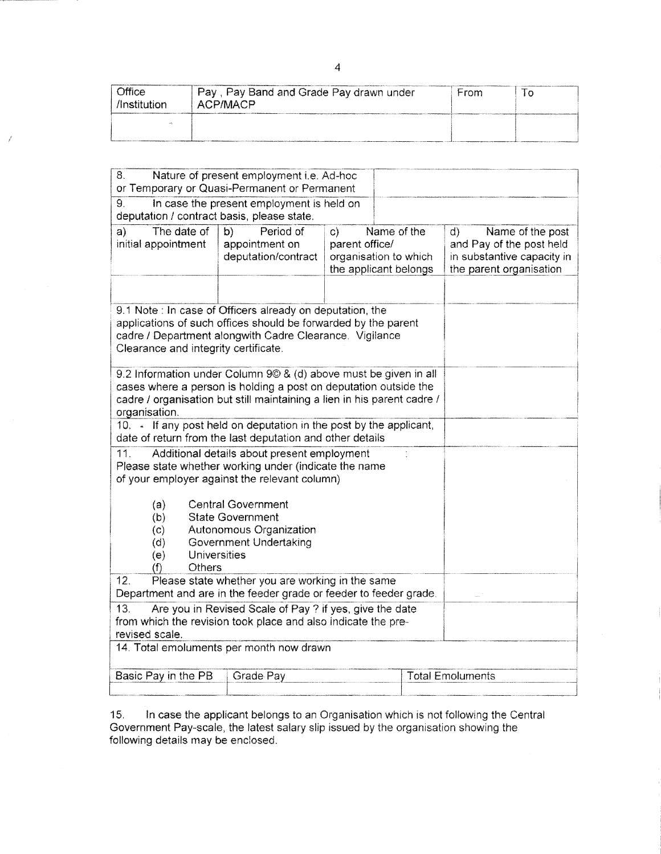| Office<br>/Institution | Pay, Pay Band and Grade Pay drawn under<br>ACP/MACP | Frm |  |
|------------------------|-----------------------------------------------------|-----|--|
|                        |                                                     |     |  |

| 8.<br>Nature of present employment i.e. Ad-hoc<br>or Temporary or Quasi-Permanent or Permanent                                                                                                                                   |                                                          |                                                                                                 |  |                                                                                                             |  |  |  |
|----------------------------------------------------------------------------------------------------------------------------------------------------------------------------------------------------------------------------------|----------------------------------------------------------|-------------------------------------------------------------------------------------------------|--|-------------------------------------------------------------------------------------------------------------|--|--|--|
| 9.<br>In case the present employment is held on<br>deputation / contract basis, please state.                                                                                                                                    |                                                          |                                                                                                 |  |                                                                                                             |  |  |  |
| a)<br>The date of<br>initial appointment                                                                                                                                                                                         | b)<br>Period of<br>appointment on<br>deputation/contract | Name of the<br>$\mathsf{c}$<br>parent office/<br>organisation to which<br>the applicant belongs |  | Name of the post<br>d)<br>and Pay of the post held<br>in substantive capacity in<br>the parent organisation |  |  |  |
| 9.1 Note : In case of Officers already on deputation, the<br>applications of such offices should be forwarded by the parent<br>cadre / Department alongwith Cadre Clearance. Vigilance<br>Clearance and integrity certificate.   |                                                          |                                                                                                 |  |                                                                                                             |  |  |  |
| 9.2 Information under Column 9© & (d) above must be given in all<br>cases where a person is holding a post on deputation outside the<br>cadre / organisation but still maintaining a lien in his parent cadre /<br>organisation. |                                                          |                                                                                                 |  |                                                                                                             |  |  |  |
| 10. • If any post held on deputation in the post by the applicant,<br>date of return from the last deputation and other details                                                                                                  |                                                          |                                                                                                 |  |                                                                                                             |  |  |  |
| 11.<br>Additional details about present employment<br>Please state whether working under (indicate the name<br>of your employer against the relevant column)                                                                     |                                                          |                                                                                                 |  |                                                                                                             |  |  |  |
| (a)<br><b>Central Government</b><br><b>State Government</b><br>(b)<br>(c)<br>Autonomous Organization<br><b>Government Undertaking</b><br>(d)<br>Universities<br>(e)<br>Others<br>(f)                                             |                                                          |                                                                                                 |  |                                                                                                             |  |  |  |
| 12.<br>Please state whether you are working in the same<br>Department and are in the feeder grade or feeder to feeder grade.                                                                                                     |                                                          |                                                                                                 |  |                                                                                                             |  |  |  |
| 13.<br>Are you in Revised Scale of Pay ? if yes, give the date<br>from which the revision took place and also indicate the pre-<br>revised scale.                                                                                |                                                          |                                                                                                 |  |                                                                                                             |  |  |  |
| 14. Total emoluments per month now drawn                                                                                                                                                                                         |                                                          |                                                                                                 |  |                                                                                                             |  |  |  |
| <b>Total Emoluments</b><br>Basic Pay in the PB<br>Grade Pay                                                                                                                                                                      |                                                          |                                                                                                 |  |                                                                                                             |  |  |  |
|                                                                                                                                                                                                                                  |                                                          |                                                                                                 |  |                                                                                                             |  |  |  |

15. In case the applicant belongs to an Organisation which is not following the Central Government Pay-scale, the latest salary slip issued by the organisation showing the following details may be enclosed.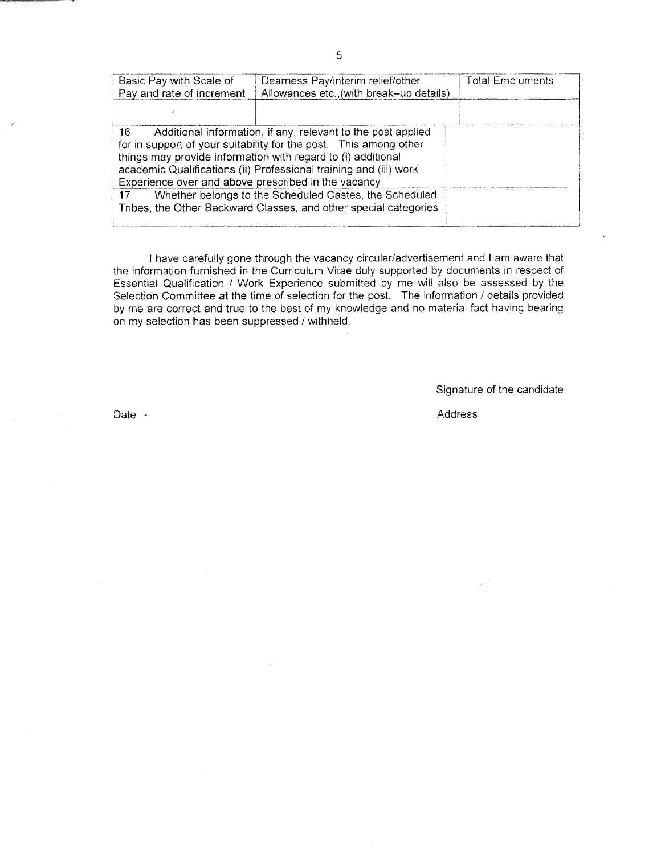| Basic Pay with Scale of<br>Pay and rate of increment                                                                                                                                                                                                                                                                                                                                                                                                                                  | Dearness Pay/interim relief/other<br>Allowances etc., (with break-up details) | <b>Total Emoluments</b> |  |  |  |  |
|---------------------------------------------------------------------------------------------------------------------------------------------------------------------------------------------------------------------------------------------------------------------------------------------------------------------------------------------------------------------------------------------------------------------------------------------------------------------------------------|-------------------------------------------------------------------------------|-------------------------|--|--|--|--|
|                                                                                                                                                                                                                                                                                                                                                                                                                                                                                       |                                                                               |                         |  |  |  |  |
| Additional information, if any, relevant to the post applied<br>16.<br>for in support of your suitability for the post. This among other<br>things may provide information with regard to (i) additional<br>academic Qualifications (ii) Professional training and (iii) work<br>Experience over and above prescribed in the vacancy<br>Whether belongs to the Scheduled Castes, the Scheduled<br>17 <sup>2</sup><br>Tribes, the Other Backward Classes, and other special categories |                                                                               |                         |  |  |  |  |

I have carefully gone through the vacancy circular/adveriisernent and I am aware that the information furnished in the Curriculum Vitae duly supported by documents in respect of Essential Qualification / Work Experience submitted by me will also be assessed by the Selection Committee at the time of selection for the post. The information / details provided by nre are correct and true to the best of my knowledge and no material fact having bearing on my selection has been suppressed / withheld.

Signature of the candidate

Date ·

Address